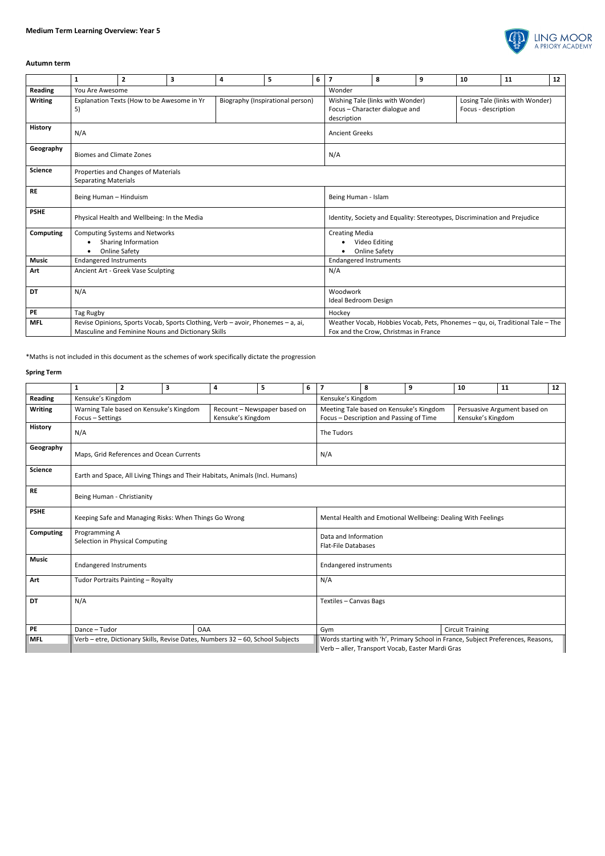

## **Autumn term**

|                  | 1                                                                                                                                     | $\overline{2}$                             | 3                                | 4      | 5 | 6                                                                                 | $\overline{7}$                                                                                                         | 8   | 9                                                      | 10 | 11 | 12 |  |  |
|------------------|---------------------------------------------------------------------------------------------------------------------------------------|--------------------------------------------|----------------------------------|--------|---|-----------------------------------------------------------------------------------|------------------------------------------------------------------------------------------------------------------------|-----|--------------------------------------------------------|----|----|----|--|--|
| <b>Reading</b>   | You Are Awesome                                                                                                                       |                                            |                                  | Wonder |   |                                                                                   |                                                                                                                        |     |                                                        |    |    |    |  |  |
| <b>Writing</b>   | 5)                                                                                                                                    | Explanation Texts (How to be Awesome in Yr | Biography (Inspirational person) |        |   | Wishing Tale (links with Wonder)<br>Focus - Character dialogue and<br>description |                                                                                                                        |     | Losing Tale (links with Wonder)<br>Focus - description |    |    |    |  |  |
| <b>History</b>   | N/A                                                                                                                                   |                                            |                                  |        |   |                                                                                   | <b>Ancient Greeks</b>                                                                                                  |     |                                                        |    |    |    |  |  |
| Geography        | <b>Biomes and Climate Zones</b>                                                                                                       |                                            |                                  |        |   |                                                                                   |                                                                                                                        | N/A |                                                        |    |    |    |  |  |
| <b>Science</b>   | Properties and Changes of Materials<br><b>Separating Materials</b>                                                                    |                                            |                                  |        |   |                                                                                   |                                                                                                                        |     |                                                        |    |    |    |  |  |
| <b>RE</b>        | Being Human - Hinduism                                                                                                                |                                            |                                  |        |   |                                                                                   | Being Human - Islam                                                                                                    |     |                                                        |    |    |    |  |  |
| <b>PSHE</b>      | Physical Health and Wellbeing: In the Media                                                                                           |                                            |                                  |        |   |                                                                                   | Identity, Society and Equality: Stereotypes, Discrimination and Prejudice                                              |     |                                                        |    |    |    |  |  |
| <b>Computing</b> | <b>Computing Systems and Networks</b><br>Sharing Information<br><b>Online Safety</b>                                                  |                                            |                                  |        |   |                                                                                   | <b>Creating Media</b><br>Video Editing<br><b>Online Safety</b>                                                         |     |                                                        |    |    |    |  |  |
| <b>Music</b>     | <b>Endangered Instruments</b>                                                                                                         |                                            |                                  |        |   |                                                                                   | <b>Endangered Instruments</b>                                                                                          |     |                                                        |    |    |    |  |  |
| Art              | Ancient Art - Greek Vase Sculpting                                                                                                    |                                            |                                  |        |   |                                                                                   | N/A                                                                                                                    |     |                                                        |    |    |    |  |  |
| DT               | N/A                                                                                                                                   |                                            |                                  |        |   |                                                                                   | Woodwork<br>Ideal Bedroom Design                                                                                       |     |                                                        |    |    |    |  |  |
| PE               | Tag Rugby                                                                                                                             |                                            |                                  |        |   |                                                                                   | Hockey                                                                                                                 |     |                                                        |    |    |    |  |  |
| <b>MFL</b>       | Revise Opinions, Sports Vocab, Sports Clothing, Verb - avoir, Phonemes - a, ai,<br>Masculine and Feminine Nouns and Dictionary Skills |                                            |                                  |        |   |                                                                                   | Weather Vocab, Hobbies Vocab, Pets, Phonemes - qu, oi, Traditional Tale - The<br>Fox and the Crow, Christmas in France |     |                                                        |    |    |    |  |  |

\*Maths is not included in this document as the schemes of work specifically dictate the progression

## **Spring Term**

|                | $\mathbf{1}$                                                                                                     | $\overline{2}$                                        | 3                 | 4                                                                              | 5   | 6                                                                                | $\overline{\mathbf{z}}$                                                                                                                 | 8 | 9 | 10                      | 11 | 12 |  |
|----------------|------------------------------------------------------------------------------------------------------------------|-------------------------------------------------------|-------------------|--------------------------------------------------------------------------------|-----|----------------------------------------------------------------------------------|-----------------------------------------------------------------------------------------------------------------------------------------|---|---|-------------------------|----|----|--|
| Reading        | Kensuke's Kingdom                                                                                                |                                                       | Kensuke's Kingdom |                                                                                |     |                                                                                  |                                                                                                                                         |   |   |                         |    |    |  |
| <b>Writing</b> | Warning Tale based on Kensuke's Kingdom<br>Recount - Newspaper based on<br>Kensuke's Kingdom<br>Focus - Settings |                                                       |                   |                                                                                |     |                                                                                  | Meeting Tale based on Kensuke's Kingdom<br>Persuasive Argument based on<br>Focus - Description and Passing of Time<br>Kensuke's Kingdom |   |   |                         |    |    |  |
| <b>History</b> | N/A                                                                                                              |                                                       | The Tudors        |                                                                                |     |                                                                                  |                                                                                                                                         |   |   |                         |    |    |  |
| Geography      | Maps, Grid References and Ocean Currents                                                                         |                                                       |                   |                                                                                | N/A |                                                                                  |                                                                                                                                         |   |   |                         |    |    |  |
| <b>Science</b> | Earth and Space, All Living Things and Their Habitats, Animals (Incl. Humans)                                    |                                                       |                   |                                                                                |     |                                                                                  |                                                                                                                                         |   |   |                         |    |    |  |
| <b>RE</b>      | Being Human - Christianity                                                                                       |                                                       |                   |                                                                                |     |                                                                                  |                                                                                                                                         |   |   |                         |    |    |  |
| <b>PSHE</b>    |                                                                                                                  | Keeping Safe and Managing Risks: When Things Go Wrong |                   | Mental Health and Emotional Wellbeing: Dealing With Feelings                   |     |                                                                                  |                                                                                                                                         |   |   |                         |    |    |  |
| Computing      | Programming A<br>Selection in Physical Computing                                                                 |                                                       |                   |                                                                                |     |                                                                                  | Data and Information<br><b>Flat-File Databases</b>                                                                                      |   |   |                         |    |    |  |
| <b>Music</b>   | <b>Endangered Instruments</b>                                                                                    |                                                       |                   |                                                                                |     | <b>Endangered instruments</b>                                                    |                                                                                                                                         |   |   |                         |    |    |  |
| Art            | Tudor Portraits Painting - Royalty                                                                               |                                                       |                   |                                                                                |     |                                                                                  | N/A                                                                                                                                     |   |   |                         |    |    |  |
| DT             | N/A                                                                                                              |                                                       |                   |                                                                                |     |                                                                                  | Textiles - Canvas Bags                                                                                                                  |   |   |                         |    |    |  |
| PE             | Dance - Tudor                                                                                                    |                                                       | <b>OAA</b>        |                                                                                |     |                                                                                  | Gym                                                                                                                                     |   |   | <b>Circuit Training</b> |    |    |  |
| <b>MFL</b>     |                                                                                                                  |                                                       |                   | Verb - etre, Dictionary Skills, Revise Dates, Numbers 32 - 60, School Subjects |     | Words starting with 'h', Primary School in France, Subject Preferences, Reasons, |                                                                                                                                         |   |   |                         |    |    |  |
|                |                                                                                                                  |                                                       |                   |                                                                                |     | Verb - aller, Transport Vocab, Easter Mardi Gras                                 |                                                                                                                                         |   |   |                         |    |    |  |